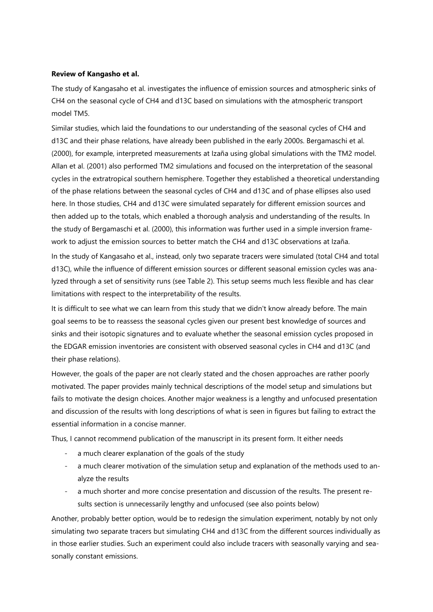# **Review of Kangasho et al.**

The study of Kangasaho et al. investigates the influence of emission sources and atmospheric sinks of CH4 on the seasonal cycle of CH4 and d13C based on simulations with the atmospheric transport model TM5.

Similar studies, which laid the foundations to our understanding of the seasonal cycles of CH4 and d13C and their phase relations, have already been published in the early 2000s. Bergamaschi et al. (2000), for example, interpreted measurements at Izaña using global simulations with the TM2 model. Allan et al. (2001) also performed TM2 simulations and focused on the interpretation of the seasonal cycles in the extratropical southern hemisphere. Together they established a theoretical understanding of the phase relations between the seasonal cycles of CH4 and d13C and of phase ellipses also used here. In those studies, CH4 and d13C were simulated separately for different emission sources and then added up to the totals, which enabled a thorough analysis and understanding of the results. In the study of Bergamaschi et al. (2000), this information was further used in a simple inversion framework to adjust the emission sources to better match the CH4 and d13C observations at Izaña.

In the study of Kangasaho et al., instead, only two separate tracers were simulated (total CH4 and total d13C), while the influence of different emission sources or different seasonal emission cycles was analyzed through a set of sensitivity runs (see Table 2). This setup seems much less flexible and has clear limitations with respect to the interpretability of the results.

It is difficult to see what we can learn from this study that we didn't know already before. The main goal seems to be to reassess the seasonal cycles given our present best knowledge of sources and sinks and their isotopic signatures and to evaluate whether the seasonal emission cycles proposed in the EDGAR emission inventories are consistent with observed seasonal cycles in CH4 and d13C (and their phase relations).

However, the goals of the paper are not clearly stated and the chosen approaches are rather poorly motivated. The paper provides mainly technical descriptions of the model setup and simulations but fails to motivate the design choices. Another major weakness is a lengthy and unfocused presentation and discussion of the results with long descriptions of what is seen in figures but failing to extract the essential information in a concise manner.

Thus, I cannot recommend publication of the manuscript in its present form. It either needs

- a much clearer explanation of the goals of the study
- a much clearer motivation of the simulation setup and explanation of the methods used to analyze the results
- a much shorter and more concise presentation and discussion of the results. The present results section is unnecessarily lengthy and unfocused (see also points below)

Another, probably better option, would be to redesign the simulation experiment, notably by not only simulating two separate tracers but simulating CH4 and d13C from the different sources individually as in those earlier studies. Such an experiment could also include tracers with seasonally varying and seasonally constant emissions.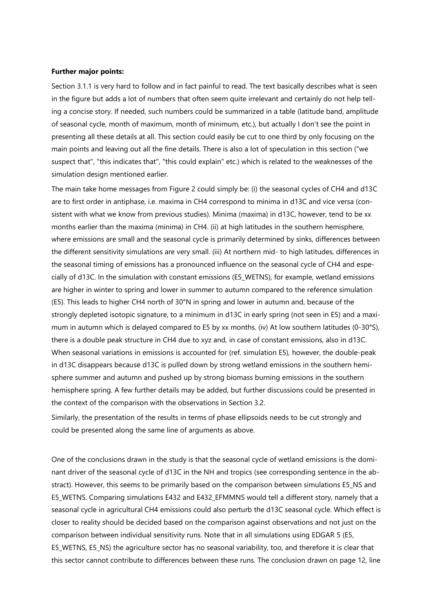#### **Further major points:**

Section 3.1.1 is very hard to follow and in fact painful to read. The text basically describes what is seen in the figure but adds a lot of numbers that often seem quite irrelevant and certainly do not help telling a concise story. If needed, such numbers could be summarized in a table (latitude band, amplitude of seasonal cycle, month of maximum, month of minimum, etc.), but actually I don't see the point in presenting all these details at all. This section could easily be cut to one third by only focusing on the main points and leaving out all the fine details. There is also a lot of speculation in this section ("we suspect that", "this indicates that", "this could explain" etc.) which is related to the weaknesses of the simulation design mentioned earlier.

The main take home messages from Figure 2 could simply be: (i) the seasonal cycles of CH4 and d13C are to first order in antiphase, i.e. maxima in CH4 correspond to minima in d13C and vice versa (consistent with what we know from previous studies). Minima (maxima) in d13C, however, tend to be xx months earlier than the maxima (minima) in CH4. (ii) at high latitudes in the southern hemisphere, where emissions are small and the seasonal cycle is primarily determined by sinks, differences between the different sensitivity simulations are very small. (iii) At northern mid- to high latitudes, differences in the seasonal timing of emissions has a pronounced influence on the seasonal cycle of CH4 and especially of d13C. In the simulation with constant emissions (E5\_WETNS), for example, wetland emissions are higher in winter to spring and lower in summer to autumn compared to the reference simulation (E5). This leads to higher CH4 north of 30°N in spring and lower in autumn and, because of the strongly depleted isotopic signature, to a minimum in d13C in early spring (not seen in E5) and a maximum in autumn which is delayed compared to E5 by xx months. (iv) At low southern latitudes (0-30°S), there is a double peak structure in CH4 due to xyz and, in case of constant emissions, also in d13C. When seasonal variations in emissions is accounted for (ref. simulation E5), however, the double-peak in d13C disappears because d13C is pulled down by strong wetland emissions in the southern hemisphere summer and autumn and pushed up by strong biomass burning emissions in the southern hemisphere spring. A few further details may be added, but further discussions could be presented in the context of the comparison with the observations in Section 3.2.

Similarly, the presentation of the results in terms of phase ellipsoids needs to be cut strongly and could be presented along the same line of arguments as above.

One of the conclusions drawn in the study is that the seasonal cycle of wetland emissions is the dominant driver of the seasonal cycle of d13C in the NH and tropics (see corresponding sentence in the abstract). However, this seems to be primarily based on the comparison between simulations E5\_NS and E5\_WETNS. Comparing simulations E432 and E432\_EFMMNS would tell a different story, namely that a seasonal cycle in agricultural CH4 emissions could also perturb the d13C seasonal cycle. Which effect is closer to reality should be decided based on the comparison against observations and not just on the comparison between individual sensitivity runs. Note that in all simulations using EDGAR 5 (E5, E5 WETNS, E5 NS) the agriculture sector has no seasonal variability, too, and therefore it is clear that this sector cannot contribute to differences between these runs. The conclusion drawn on page 12, line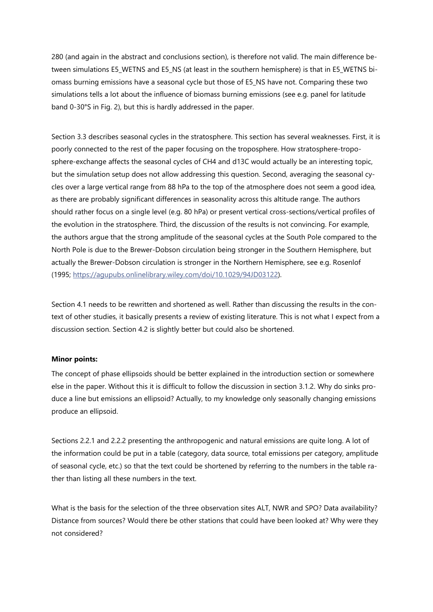280 (and again in the abstract and conclusions section), is therefore not valid. The main difference between simulations E5\_WETNS and E5\_NS (at least in the southern hemisphere) is that in E5\_WETNS biomass burning emissions have a seasonal cycle but those of E5\_NS have not. Comparing these two simulations tells a lot about the influence of biomass burning emissions (see e.g. panel for latitude band 0-30°S in Fig. 2), but this is hardly addressed in the paper.

Section 3.3 describes seasonal cycles in the stratosphere. This section has several weaknesses. First, it is poorly connected to the rest of the paper focusing on the troposphere. How stratosphere-troposphere-exchange affects the seasonal cycles of CH4 and d13C would actually be an interesting topic, but the simulation setup does not allow addressing this question. Second, averaging the seasonal cycles over a large vertical range from 88 hPa to the top of the atmosphere does not seem a good idea, as there are probably significant differences in seasonality across this altitude range. The authors should rather focus on a single level (e.g. 80 hPa) or present vertical cross-sections/vertical profiles of the evolution in the stratosphere. Third, the discussion of the results is not convincing. For example, the authors argue that the strong amplitude of the seasonal cycles at the South Pole compared to the North Pole is due to the Brewer-Dobson circulation being stronger in the Southern Hemisphere, but actually the Brewer-Dobson circulation is stronger in the Northern Hemisphere, see e.g. Rosenlof (1995; [https://agupubs.onlinelibrary.wiley.com/doi/10.1029/94JD03122\)](https://agupubs.onlinelibrary.wiley.com/doi/10.1029/94JD03122).

Section 4.1 needs to be rewritten and shortened as well. Rather than discussing the results in the context of other studies, it basically presents a review of existing literature. This is not what I expect from a discussion section. Section 4.2 is slightly better but could also be shortened.

# **Minor points:**

The concept of phase ellipsoids should be better explained in the introduction section or somewhere else in the paper. Without this it is difficult to follow the discussion in section 3.1.2. Why do sinks produce a line but emissions an ellipsoid? Actually, to my knowledge only seasonally changing emissions produce an ellipsoid.

Sections 2.2.1 and 2.2.2 presenting the anthropogenic and natural emissions are quite long. A lot of the information could be put in a table (category, data source, total emissions per category, amplitude of seasonal cycle, etc.) so that the text could be shortened by referring to the numbers in the table rather than listing all these numbers in the text.

What is the basis for the selection of the three observation sites ALT, NWR and SPO? Data availability? Distance from sources? Would there be other stations that could have been looked at? Why were they not considered?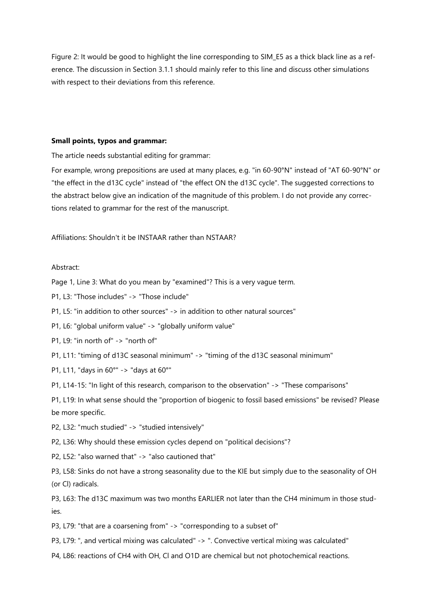Figure 2: It would be good to highlight the line corresponding to SIM\_E5 as a thick black line as a reference. The discussion in Section 3.1.1 should mainly refer to this line and discuss other simulations with respect to their deviations from this reference.

## **Small points, typos and grammar:**

The article needs substantial editing for grammar:

For example, wrong prepositions are used at many places, e.g. "in 60-90°N" instead of "AT 60-90°N" or "the effect in the d13C cycle" instead of "the effect ON the d13C cycle". The suggested corrections to the abstract below give an indication of the magnitude of this problem. I do not provide any corrections related to grammar for the rest of the manuscript.

Affiliations: Shouldn't it be INSTAAR rather than NSTAAR?

### Abstract:

Page 1, Line 3: What do you mean by "examined"? This is a very vague term.

P1, L3: "Those includes" -> "Those include"

P1, L5: "in addition to other sources" -> in addition to other natural sources"

P1, L6: "global uniform value" -> "globally uniform value"

P1, L9: "in north of" -> "north of"

P1, L11: "timing of d13C seasonal minimum" -> "timing of the d13C seasonal minimum"

P1, L11, "days in 60°" -> "days at 60°"

P1, L14-15: "In light of this research, comparison to the observation" -> "These comparisons"

P1, L19: In what sense should the "proportion of biogenic to fossil based emissions" be revised? Please be more specific.

P2, L32: "much studied" -> "studied intensively"

P2, L36: Why should these emission cycles depend on "political decisions"?

P2, L52: "also warned that" -> "also cautioned that"

P3, L58: Sinks do not have a strong seasonality due to the KIE but simply due to the seasonality of OH (or Cl) radicals.

P3, L63: The d13C maximum was two months EARLIER not later than the CH4 minimum in those studies.

P3, L79: "that are a coarsening from" -> "corresponding to a subset of"

P3, L79: ", and vertical mixing was calculated" -> ". Convective vertical mixing was calculated"

P4, L86: reactions of CH4 with OH, Cl and O1D are chemical but not photochemical reactions.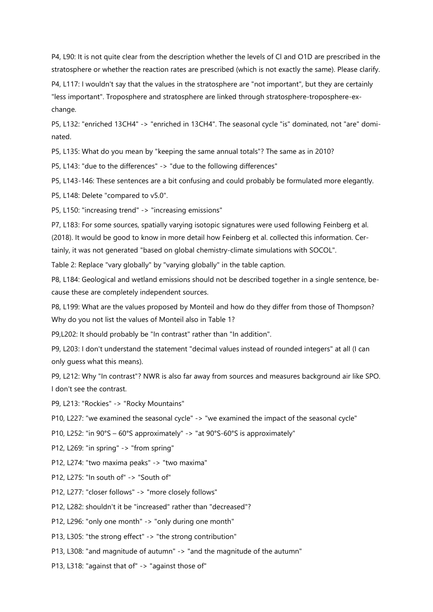P4, L90: It is not quite clear from the description whether the levels of Cl and O1D are prescribed in the stratosphere or whether the reaction rates are prescribed (which is not exactly the same). Please clarify.

P4, L117: I wouldn't say that the values in the stratosphere are "not important", but they are certainly "less important". Troposphere and stratosphere are linked through stratosphere-troposphere-exchange.

P5, L132: "enriched 13CH4" -> "enriched in 13CH4". The seasonal cycle "is" dominated, not "are" dominated.

P5, L135: What do you mean by "keeping the same annual totals"? The same as in 2010?

P5, L143: "due to the differences" -> "due to the following differences"

P5, L143-146: These sentences are a bit confusing and could probably be formulated more elegantly.

P5, L148: Delete "compared to v5.0".

P5, L150: "increasing trend" -> "increasing emissions"

P7, L183: For some sources, spatially varying isotopic signatures were used following Feinberg et al. (2018). It would be good to know in more detail how Feinberg et al. collected this information. Certainly, it was not generated "based on global chemistry-climate simulations with SOCOL".

Table 2: Replace "vary globally" by "varying globally" in the table caption.

P8, L184: Geological and wetland emissions should not be described together in a single sentence, because these are completely independent sources.

P8, L199: What are the values proposed by Monteil and how do they differ from those of Thompson? Why do you not list the values of Monteil also in Table 1?

P9,L202: It should probably be "In contrast" rather than "In addition".

P9, L203: I don't understand the statement "decimal values instead of rounded integers" at all (I can only guess what this means).

P9, L212: Why "In contrast"? NWR is also far away from sources and measures background air like SPO. I don't see the contrast.

P9, L213: "Rockies" -> "Rocky Mountains"

P10, L227: "we examined the seasonal cycle" -> "we examined the impact of the seasonal cycle"

P10, L252: "in 90°S – 60°S approximately" -> "at 90°S-60°S is approximately"

P12, L269: "in spring" -> "from spring"

P12, L274: "two maxima peaks" -> "two maxima"

P12, L275: "In south of" -> "South of"

P12, L277: "closer follows" -> "more closely follows"

P12, L282: shouldn't it be "increased" rather than "decreased"?

P12, L296: "only one month" -> "only during one month"

P13, L305: "the strong effect" -> "the strong contribution"

P13, L308: "and magnitude of autumn" -> "and the magnitude of the autumn"

P13, L318: "against that of" -> "against those of"